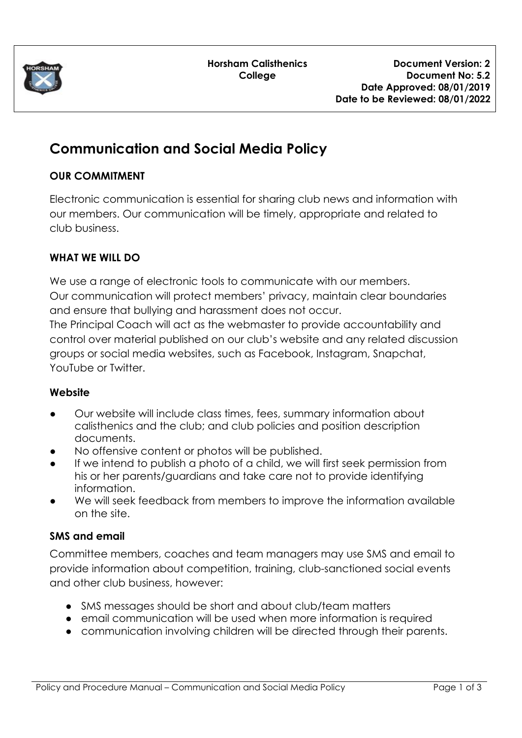

**Horsham Calisthenics College**

# **Communication and Social Media Policy**

#### **OUR COMMITMENT**

Electronic communication is essential for sharing club news and information with our members. Our communication will be timely, appropriate and related to club business.

## **WHAT WE WILL DO**

We use a range of electronic tools to communicate with our members. Our communication will protect members' privacy, maintain clear boundaries and ensure that bullying and harassment does not occur.

The Principal Coach will act as the webmaster to provide accountability and control over material published on our club's website and any related discussion groups or social media websites, such as Facebook, Instagram, Snapchat, YouTube or Twitter.

## **Website**

- Our website will include class times, fees, summary information about calisthenics and the club; and club policies and position description documents.
- No offensive content or photos will be published.
- If we intend to publish a photo of a child, we will first seek permission from his or her parents/guardians and take care not to provide identifying information.
- We will seek feedback from members to improve the information available on the site.

## **SMS and email**

Committee members, coaches and team managers may use SMS and email to provide information about competition, training, club-sanctioned social events and other club business, however:

- SMS messages should be short and about club/team matters
- email communication will be used when more information is required
- communication involving children will be directed through their parents.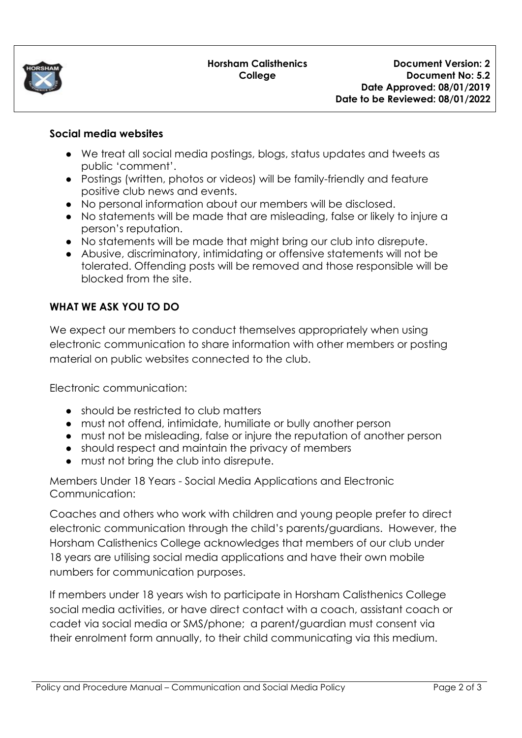

#### **Horsham Calisthenics College**

#### **Social media websites**

- We treat all social media postings, blogs, status updates and tweets as public 'comment'.
- Postings (written, photos or videos) will be family-friendly and feature positive club news and events.
- No personal information about our members will be disclosed.
- No statements will be made that are misleading, false or likely to injure a person's reputation.
- No statements will be made that might bring our club into disrepute.
- Abusive, discriminatory, intimidating or offensive statements will not be tolerated. Offending posts will be removed and those responsible will be blocked from the site.

## **WHAT WE ASK YOU TO DO**

We expect our members to conduct themselves appropriately when using electronic communication to share information with other members or posting material on public websites connected to the club.

Electronic communication:

- should be restricted to club matters
- must not offend, intimidate, humiliate or bully another person
- must not be misleading, false or injure the reputation of another person
- should respect and maintain the privacy of members
- must not bring the club into disrepute.

Members Under 18 Years - Social Media Applications and Electronic Communication:

Coaches and others who work with children and young people prefer to direct electronic communication through the child's parents/guardians. However, the Horsham Calisthenics College acknowledges that members of our club under 18 years are utilising social media applications and have their own mobile numbers for communication purposes.

If members under 18 years wish to participate in Horsham Calisthenics College social media activities, or have direct contact with a coach, assistant coach or cadet via social media or SMS/phone; a parent/guardian must consent via their enrolment form annually, to their child communicating via this medium.